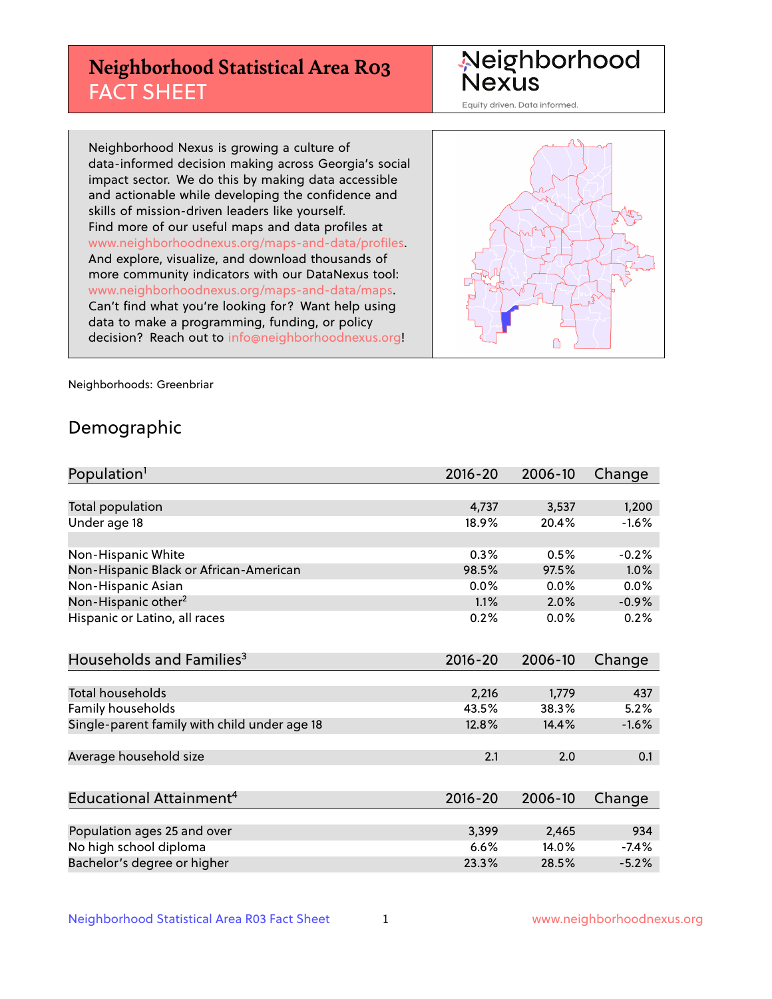# **Neighborhood Statistical Area R03** FACT SHEET

Neighborhood Nexus

Equity driven. Data informed.

Neighborhood Nexus is growing a culture of data-informed decision making across Georgia's social impact sector. We do this by making data accessible and actionable while developing the confidence and skills of mission-driven leaders like yourself. Find more of our useful maps and data profiles at www.neighborhoodnexus.org/maps-and-data/profiles. And explore, visualize, and download thousands of more community indicators with our DataNexus tool: www.neighborhoodnexus.org/maps-and-data/maps. Can't find what you're looking for? Want help using data to make a programming, funding, or policy decision? Reach out to [info@neighborhoodnexus.org!](mailto:info@neighborhoodnexus.org)



Neighborhoods: Greenbriar

### Demographic

| Population <sup>1</sup>                      | $2016 - 20$ | 2006-10 | Change  |
|----------------------------------------------|-------------|---------|---------|
|                                              |             |         |         |
| <b>Total population</b>                      | 4,737       | 3,537   | 1,200   |
| Under age 18                                 | 18.9%       | 20.4%   | $-1.6%$ |
|                                              |             |         |         |
| Non-Hispanic White                           | 0.3%        | 0.5%    | $-0.2%$ |
| Non-Hispanic Black or African-American       | 98.5%       | 97.5%   | 1.0%    |
| Non-Hispanic Asian                           | 0.0%        | 0.0%    | 0.0%    |
| Non-Hispanic other <sup>2</sup>              | 1.1%        | 2.0%    | $-0.9%$ |
| Hispanic or Latino, all races                | 0.2%        | 0.0%    | 0.2%    |
|                                              |             |         |         |
| Households and Families <sup>3</sup>         | $2016 - 20$ | 2006-10 | Change  |
|                                              |             |         |         |
| Total households                             | 2,216       | 1,779   | 437     |
| Family households                            | 43.5%       | 38.3%   | 5.2%    |
| Single-parent family with child under age 18 | 12.8%       | 14.4%   | $-1.6%$ |
|                                              |             |         |         |
| Average household size                       | 2.1         | 2.0     | 0.1     |
|                                              |             |         |         |
| Educational Attainment <sup>4</sup>          | $2016 - 20$ | 2006-10 | Change  |
|                                              |             |         |         |
| Population ages 25 and over                  | 3,399       | 2,465   | 934     |
| No high school diploma                       | 6.6%        | 14.0%   | $-7.4%$ |
| Bachelor's degree or higher                  | 23.3%       | 28.5%   | $-5.2%$ |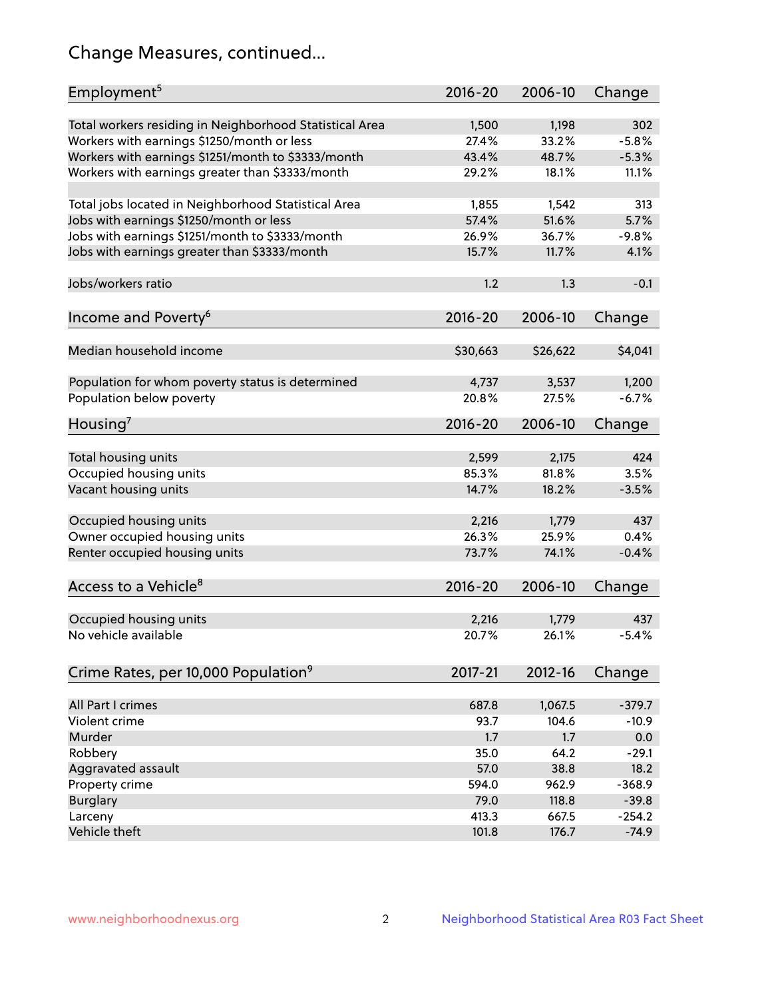# Change Measures, continued...

| Employment <sup>5</sup>                                 | $2016 - 20$ | 2006-10  | Change   |
|---------------------------------------------------------|-------------|----------|----------|
| Total workers residing in Neighborhood Statistical Area | 1,500       | 1,198    | 302      |
| Workers with earnings \$1250/month or less              | 27.4%       | 33.2%    | $-5.8%$  |
| Workers with earnings \$1251/month to \$3333/month      | 43.4%       | 48.7%    | $-5.3%$  |
| Workers with earnings greater than \$3333/month         | 29.2%       | 18.1%    | 11.1%    |
|                                                         |             |          |          |
| Total jobs located in Neighborhood Statistical Area     | 1,855       | 1,542    | 313      |
| Jobs with earnings \$1250/month or less                 | 57.4%       | 51.6%    | 5.7%     |
| Jobs with earnings \$1251/month to \$3333/month         | 26.9%       | 36.7%    | $-9.8%$  |
| Jobs with earnings greater than \$3333/month            | 15.7%       | 11.7%    | 4.1%     |
|                                                         |             |          |          |
| Jobs/workers ratio                                      | 1.2         | 1.3      | $-0.1$   |
|                                                         |             |          |          |
| Income and Poverty <sup>6</sup>                         | $2016 - 20$ | 2006-10  | Change   |
|                                                         |             |          |          |
| Median household income                                 | \$30,663    | \$26,622 | \$4,041  |
|                                                         |             |          |          |
| Population for whom poverty status is determined        | 4,737       | 3,537    | 1,200    |
| Population below poverty                                | 20.8%       | 27.5%    | $-6.7%$  |
| Housing <sup>7</sup>                                    | $2016 - 20$ | 2006-10  | Change   |
|                                                         |             |          |          |
| Total housing units                                     | 2,599       | 2,175    | 424      |
| Occupied housing units                                  | 85.3%       | 81.8%    | 3.5%     |
| Vacant housing units                                    | 14.7%       | 18.2%    | $-3.5%$  |
|                                                         |             |          |          |
| Occupied housing units                                  | 2,216       | 1,779    | 437      |
| Owner occupied housing units                            | 26.3%       | 25.9%    | 0.4%     |
| Renter occupied housing units                           | 73.7%       | 74.1%    | $-0.4%$  |
|                                                         |             |          |          |
| Access to a Vehicle <sup>8</sup>                        | $2016 - 20$ | 2006-10  | Change   |
|                                                         |             |          |          |
| Occupied housing units                                  | 2,216       | 1,779    | 437      |
| No vehicle available                                    | 20.7%       | 26.1%    | $-5.4%$  |
| Crime Rates, per 10,000 Population <sup>9</sup>         | 2017-21     | 2012-16  | Change   |
|                                                         |             |          |          |
| All Part I crimes                                       | 687.8       | 1,067.5  | $-379.7$ |
| Violent crime                                           | 93.7        | 104.6    | $-10.9$  |
| Murder                                                  | 1.7         | 1.7      | 0.0      |
| Robbery                                                 | 35.0        | 64.2     | $-29.1$  |
| Aggravated assault                                      | 57.0        | 38.8     | 18.2     |
| Property crime                                          | 594.0       | 962.9    | $-368.9$ |
| <b>Burglary</b>                                         | 79.0        | 118.8    | $-39.8$  |
| Larceny                                                 | 413.3       | 667.5    | $-254.2$ |
| Vehicle theft                                           | 101.8       | 176.7    | $-74.9$  |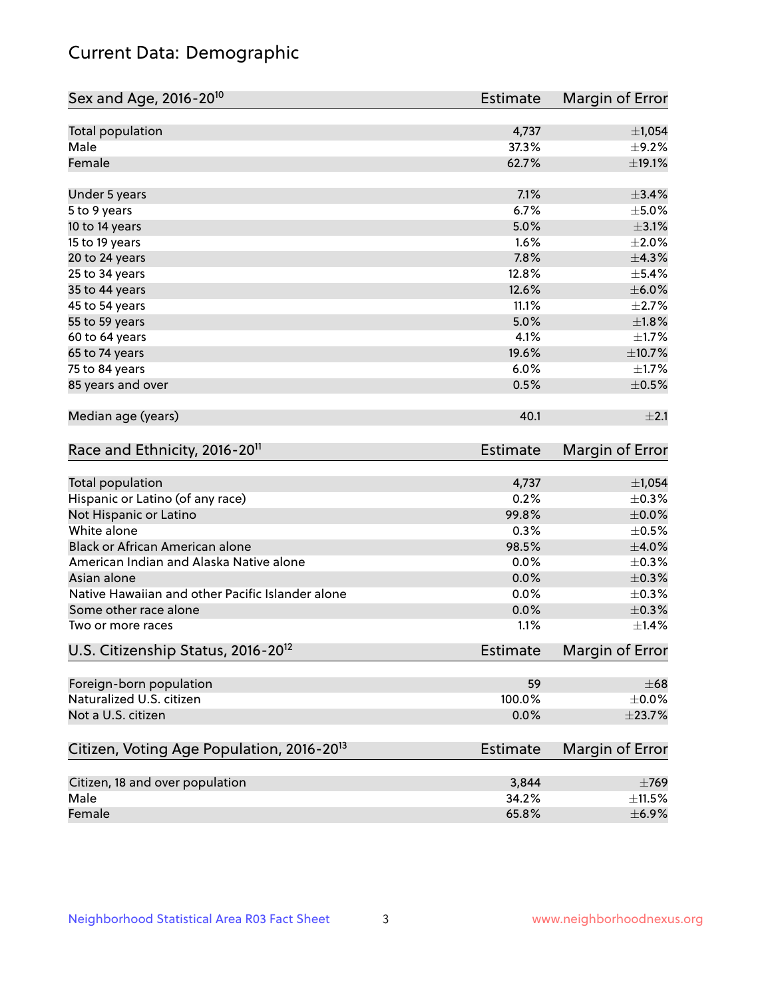# Current Data: Demographic

| Sex and Age, 2016-20 <sup>10</sup>                    | Estimate        | Margin of Error |
|-------------------------------------------------------|-----------------|-----------------|
| Total population                                      | 4,737           | ±1,054          |
| Male                                                  | 37.3%           | $\pm$ 9.2%      |
| Female                                                | 62.7%           | ±19.1%          |
| Under 5 years                                         | 7.1%            | $\pm$ 3.4%      |
| 5 to 9 years                                          | 6.7%            | $\pm$ 5.0%      |
| 10 to 14 years                                        | 5.0%            | $\pm$ 3.1%      |
| 15 to 19 years                                        | 1.6%            | $\pm 2.0\%$     |
| 20 to 24 years                                        | 7.8%            | ±4.3%           |
| 25 to 34 years                                        | 12.8%           | $\pm$ 5.4%      |
| 35 to 44 years                                        | 12.6%           | $\pm$ 6.0%      |
| 45 to 54 years                                        | 11.1%           | $\pm 2.7\%$     |
| 55 to 59 years                                        | 5.0%            | $\pm1.8\%$      |
| 60 to 64 years                                        | 4.1%            | $\pm 1.7\%$     |
| 65 to 74 years                                        | 19.6%           | $\pm$ 10.7%     |
| 75 to 84 years                                        | 6.0%            | $\pm 1.7\%$     |
| 85 years and over                                     | 0.5%            | $\pm$ 0.5%      |
| Median age (years)                                    | 40.1            | $\pm 2.1$       |
| Race and Ethnicity, 2016-20 <sup>11</sup>             | <b>Estimate</b> | Margin of Error |
| Total population                                      | 4,737           | ±1,054          |
| Hispanic or Latino (of any race)                      | 0.2%            | $\pm$ 0.3%      |
| Not Hispanic or Latino                                | 99.8%           | $\pm$ 0.0%      |
| White alone                                           | 0.3%            | $\pm$ 0.5%      |
| Black or African American alone                       | 98.5%           | $\pm$ 4.0%      |
| American Indian and Alaska Native alone               | 0.0%            | $\pm$ 0.3%      |
| Asian alone                                           | 0.0%            | $\pm$ 0.3%      |
| Native Hawaiian and other Pacific Islander alone      | 0.0%            | $\pm$ 0.3%      |
| Some other race alone                                 | 0.0%            | $\pm$ 0.3%      |
| Two or more races                                     | 1.1%            | $\pm$ 1.4%      |
| U.S. Citizenship Status, 2016-20 <sup>12</sup>        | Estimate        | Margin of Error |
| Foreign-born population                               | 59              | $\pm 68$        |
| Naturalized U.S. citizen                              | 100.0%          | $\pm$ 0.0%      |
| Not a U.S. citizen                                    | 0.0%            | $\pm$ 23.7%     |
| Citizen, Voting Age Population, 2016-20 <sup>13</sup> | Estimate        | Margin of Error |
| Citizen, 18 and over population                       | 3,844           | $\pm 769$       |
| Male                                                  | 34.2%           | $\pm$ 11.5%     |
| Female                                                | 65.8%           | $\pm$ 6.9%      |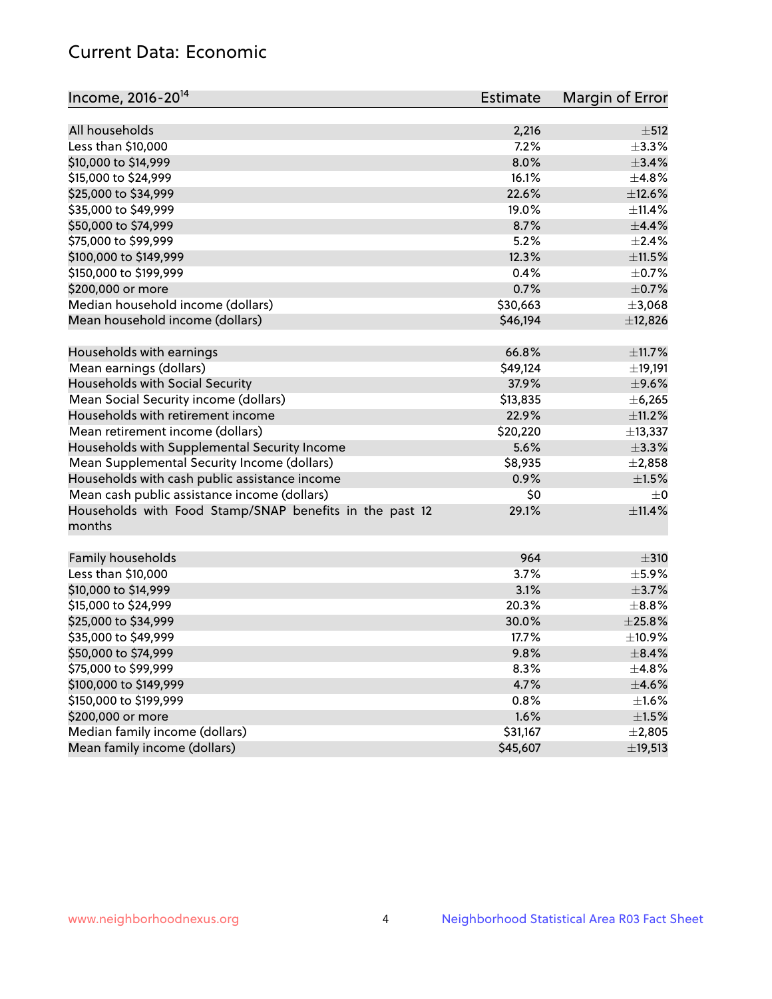# Current Data: Economic

| Income, 2016-20 <sup>14</sup>                           | <b>Estimate</b> | Margin of Error |
|---------------------------------------------------------|-----------------|-----------------|
| All households                                          |                 | $\pm$ 512       |
|                                                         | 2,216<br>7.2%   | $\pm$ 3.3%      |
| Less than \$10,000                                      |                 |                 |
| \$10,000 to \$14,999                                    | 8.0%            | ±3.4%           |
| \$15,000 to \$24,999                                    | 16.1%           | ±4.8%           |
| \$25,000 to \$34,999                                    | 22.6%           | $\pm$ 12.6%     |
| \$35,000 to \$49,999                                    | 19.0%           | ±11.4%          |
| \$50,000 to \$74,999                                    | 8.7%            | $\pm$ 4.4%      |
| \$75,000 to \$99,999                                    | 5.2%            | $\pm 2.4\%$     |
| \$100,000 to \$149,999                                  | 12.3%           | $\pm$ 11.5%     |
| \$150,000 to \$199,999                                  | 0.4%            | $\pm$ 0.7%      |
| \$200,000 or more                                       | 0.7%            | $\pm$ 0.7%      |
| Median household income (dollars)                       | \$30,663        | ±3,068          |
| Mean household income (dollars)                         | \$46,194        | ±12,826         |
| Households with earnings                                | 66.8%           | ±11.7%          |
| Mean earnings (dollars)                                 | \$49,124        | ±19,191         |
| Households with Social Security                         | 37.9%           | $\pm$ 9.6%      |
| Mean Social Security income (dollars)                   | \$13,835        | ±6,265          |
| Households with retirement income                       | 22.9%           | $\pm$ 11.2%     |
| Mean retirement income (dollars)                        | \$20,220        | ±13,337         |
| Households with Supplemental Security Income            | 5.6%            | $\pm$ 3.3%      |
| Mean Supplemental Security Income (dollars)             | \$8,935         | $\pm 2,858$     |
| Households with cash public assistance income           | 0.9%            | $\pm 1.5\%$     |
| Mean cash public assistance income (dollars)            | \$0             | $\pm 0$         |
| Households with Food Stamp/SNAP benefits in the past 12 | 29.1%           | $\pm$ 11.4%     |
| months                                                  |                 |                 |
| Family households                                       | 964             | $\pm$ 310       |
| Less than \$10,000                                      | 3.7%            | $\pm$ 5.9%      |
| \$10,000 to \$14,999                                    | 3.1%            | $\pm$ 3.7%      |
| \$15,000 to \$24,999                                    | 20.3%           | $\pm$ 8.8%      |
|                                                         |                 |                 |
| \$25,000 to \$34,999                                    | 30.0%           | $\pm 25.8\%$    |
| \$35,000 to \$49,999                                    | 17.7%           | ±10.9%          |
| \$50,000 to \$74,999                                    | 9.8%            | $\pm$ 8.4%      |
| \$75,000 to \$99,999                                    | 8.3%            | $\pm$ 4.8%      |
| \$100,000 to \$149,999                                  | 4.7%            | $\pm$ 4.6%      |
| \$150,000 to \$199,999                                  | 0.8%            | $\pm 1.6\%$     |
| \$200,000 or more                                       | 1.6%            | $\pm 1.5\%$     |
| Median family income (dollars)                          | \$31,167        | $\pm 2,805$     |
| Mean family income (dollars)                            | \$45,607        | ±19,513         |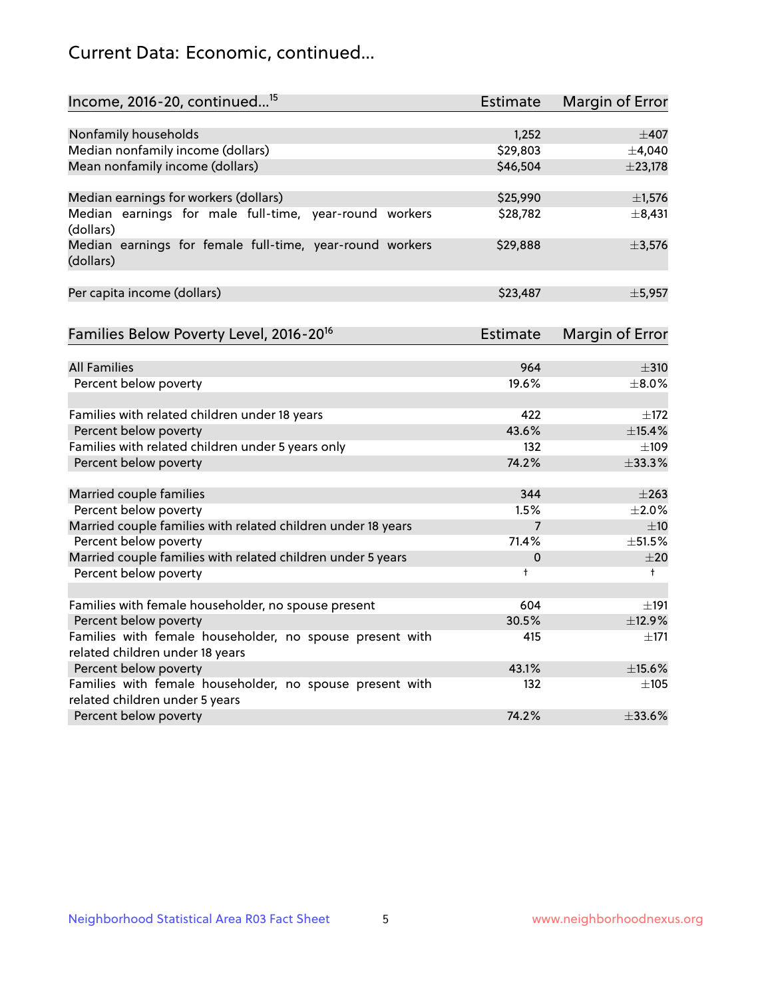# Current Data: Economic, continued...

| Income, 2016-20, continued <sup>15</sup>                              | <b>Estimate</b> | <b>Margin of Error</b> |
|-----------------------------------------------------------------------|-----------------|------------------------|
|                                                                       |                 |                        |
| Nonfamily households                                                  | 1,252           | $\pm$ 407              |
| Median nonfamily income (dollars)                                     | \$29,803        | ±4,040                 |
| Mean nonfamily income (dollars)                                       | \$46,504        | ±23,178                |
| Median earnings for workers (dollars)                                 | \$25,990        | ±1,576                 |
| Median earnings for male full-time, year-round workers<br>(dollars)   | \$28,782        | $\pm$ 8,431            |
| Median earnings for female full-time, year-round workers<br>(dollars) | \$29,888        | ±3,576                 |
| Per capita income (dollars)                                           | \$23,487        | ±5,957                 |
| Families Below Poverty Level, 2016-20 <sup>16</sup>                   | <b>Estimate</b> | <b>Margin of Error</b> |
|                                                                       |                 |                        |
| <b>All Families</b>                                                   | 964             | $\pm$ 310              |
| Percent below poverty                                                 | 19.6%           | $\pm$ 8.0%             |
| Families with related children under 18 years                         | 422             | $\pm$ 172              |
| Percent below poverty                                                 | 43.6%           | ±15.4%                 |
| Families with related children under 5 years only                     | 132             | $\pm 109$              |
| Percent below poverty                                                 | 74.2%           | $\pm$ 33.3%            |
| Married couple families                                               | 344             | $\pm 263$              |
| Percent below poverty                                                 | 1.5%            | ±2.0%                  |
| Married couple families with related children under 18 years          | $\overline{7}$  | ±10                    |
| Percent below poverty                                                 | 71.4%           | ±51.5%                 |
| Married couple families with related children under 5 years           | 0               | ±20                    |
| Percent below poverty                                                 | $\ddagger$      | $^+$                   |
| Families with female householder, no spouse present                   | 604             | ±191                   |
| Percent below poverty                                                 | 30.5%           | ±12.9%                 |
| Families with female householder, no spouse present with              | 415             | $\pm$ 171              |
| related children under 18 years                                       |                 |                        |
| Percent below poverty                                                 | 43.1%           | ±15.6%                 |
| Families with female householder, no spouse present with              | 132             | $\pm$ 105              |
| related children under 5 years                                        |                 |                        |
| Percent below poverty                                                 | 74.2%           | $\pm 33.6\%$           |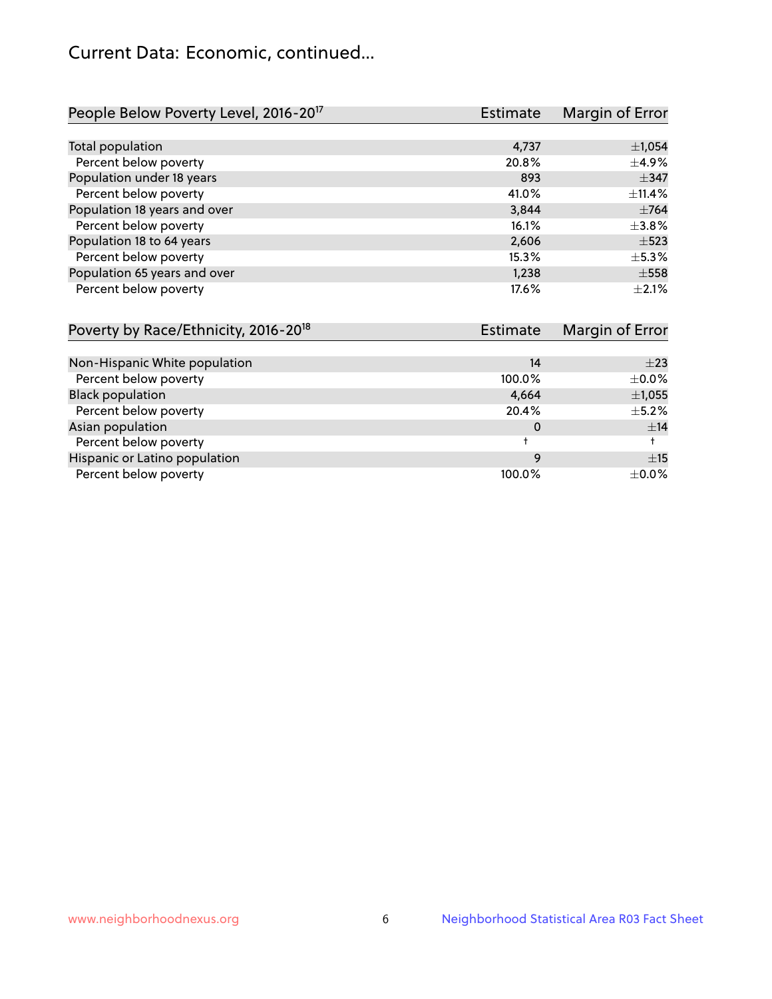# Current Data: Economic, continued...

| People Below Poverty Level, 2016-20 <sup>17</sup> | <b>Estimate</b> | Margin of Error |
|---------------------------------------------------|-----------------|-----------------|
|                                                   |                 |                 |
| Total population                                  | 4,737           | ±1,054          |
| Percent below poverty                             | 20.8%           | $\pm$ 4.9%      |
| Population under 18 years                         | 893             | $\pm$ 347       |
| Percent below poverty                             | 41.0%           | ±11.4%          |
| Population 18 years and over                      | 3,844           | $\pm 764$       |
| Percent below poverty                             | 16.1%           | $\pm 3.8\%$     |
| Population 18 to 64 years                         | 2,606           | $\pm$ 523       |
| Percent below poverty                             | 15.3%           | $\pm$ 5.3%      |
| Population 65 years and over                      | 1.238           | $\pm$ 558       |
| Percent below poverty                             | 17.6%           | $\pm 2.1\%$     |

| Poverty by Race/Ethnicity, 2016-20 <sup>18</sup> | <b>Estimate</b> |             |
|--------------------------------------------------|-----------------|-------------|
|                                                  |                 |             |
| Non-Hispanic White population                    | 14              | $\pm 23$    |
| Percent below poverty                            | 100.0%          | $\pm 0.0\%$ |
| <b>Black population</b>                          | 4,664           | $\pm$ 1,055 |
| Percent below poverty                            | 20.4%           | $\pm$ 5.2%  |
| Asian population                                 | 0               | ±14         |
| Percent below poverty                            |                 |             |
| Hispanic or Latino population                    | 9               | ±15         |
| Percent below poverty                            | 100.0%          | $\pm$ 0.0%  |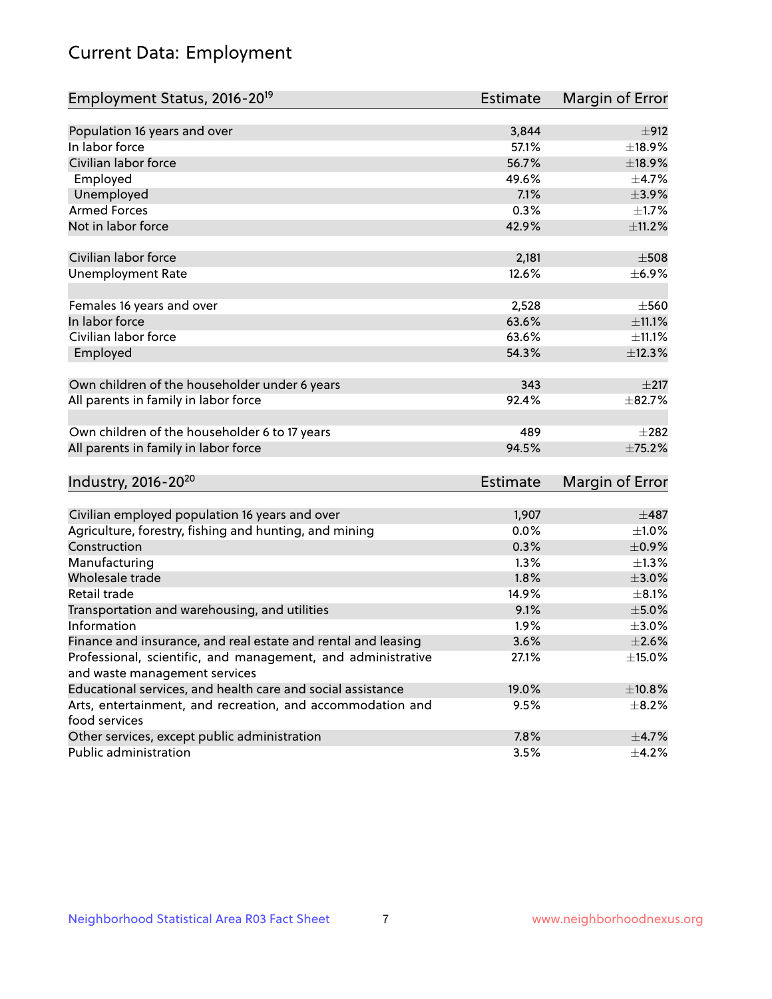# Current Data: Employment

| Employment Status, 2016-20 <sup>19</sup>                                    | <b>Estimate</b> | Margin of Error |
|-----------------------------------------------------------------------------|-----------------|-----------------|
|                                                                             |                 |                 |
| Population 16 years and over                                                | 3,844           | ±912            |
| In labor force                                                              | 57.1%           | ±18.9%          |
| Civilian labor force                                                        | 56.7%           | ±18.9%          |
| Employed                                                                    | 49.6%           | $\pm$ 4.7%      |
| Unemployed                                                                  | 7.1%            | $\pm$ 3.9%      |
| <b>Armed Forces</b>                                                         | 0.3%            | $\pm1.7\%$      |
| Not in labor force                                                          | 42.9%           | $\pm$ 11.2%     |
| Civilian labor force                                                        | 2,181           | $\pm$ 508       |
| <b>Unemployment Rate</b>                                                    | 12.6%           | $\pm$ 6.9%      |
| Females 16 years and over                                                   | 2,528           | $\pm$ 560       |
| In labor force                                                              | 63.6%           | $\pm$ 11.1%     |
| Civilian labor force                                                        | 63.6%           | $\pm$ 11.1%     |
| Employed                                                                    | 54.3%           | ±12.3%          |
| Own children of the householder under 6 years                               | 343             | ±217            |
| All parents in family in labor force                                        | 92.4%           | ±82.7%          |
| Own children of the householder 6 to 17 years                               | 489             | $\pm 282$       |
| All parents in family in labor force                                        | 94.5%           | ±75.2%          |
| Industry, 2016-20 <sup>20</sup>                                             | <b>Estimate</b> | Margin of Error |
|                                                                             |                 |                 |
| Civilian employed population 16 years and over                              | 1,907           | $\pm$ 487       |
| Agriculture, forestry, fishing and hunting, and mining                      | 0.0%            | $\pm 1.0\%$     |
| Construction                                                                | 0.3%            | $\pm$ 0.9%      |
| Manufacturing                                                               | 1.3%            | $\pm$ 1.3%      |
| Wholesale trade                                                             | 1.8%            | $\pm 3.0\%$     |
| Retail trade                                                                | 14.9%           | $\pm 8.1\%$     |
| Transportation and warehousing, and utilities                               | 9.1%            | $\pm$ 5.0%      |
| Information                                                                 | 1.9%            | $\pm 3.0\%$     |
| Finance and insurance, and real estate and rental and leasing               | 3.6%            | $\pm 2.6\%$     |
| Professional, scientific, and management, and administrative                | 27.1%           | $\pm$ 15.0%     |
| and waste management services                                               |                 |                 |
| Educational services, and health care and social assistance                 | 19.0%           | ±10.8%          |
| Arts, entertainment, and recreation, and accommodation and<br>food services | 9.5%            | $\pm$ 8.2%      |
| Other services, except public administration                                | 7.8%            | $\pm$ 4.7%      |
| Public administration                                                       | 3.5%            | $\pm$ 4.2%      |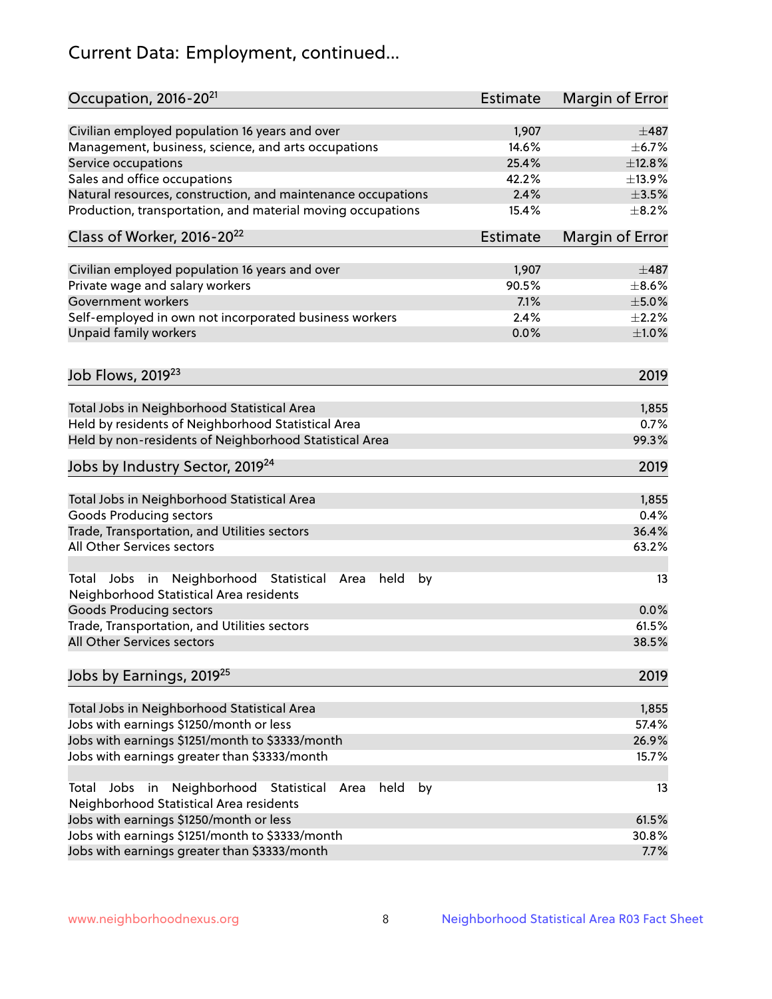# Current Data: Employment, continued...

| Occupation, 2016-20 <sup>21</sup>                                                                                | <b>Estimate</b> | Margin of Error |
|------------------------------------------------------------------------------------------------------------------|-----------------|-----------------|
| Civilian employed population 16 years and over                                                                   | 1,907           | $\pm$ 487       |
| Management, business, science, and arts occupations                                                              | 14.6%           | $\pm$ 6.7%      |
| Service occupations                                                                                              | 25.4%           | ±12.8%          |
| Sales and office occupations                                                                                     | 42.2%           | ±13.9%          |
| Natural resources, construction, and maintenance occupations                                                     | 2.4%            | $\pm 3.5\%$     |
| Production, transportation, and material moving occupations                                                      | 15.4%           | $\pm$ 8.2%      |
| Class of Worker, 2016-20 <sup>22</sup>                                                                           | Estimate        | Margin of Error |
| Civilian employed population 16 years and over                                                                   | 1,907           | $\pm$ 487       |
| Private wage and salary workers                                                                                  | 90.5%           | $\pm$ 8.6%      |
| Government workers                                                                                               | 7.1%            | $\pm$ 5.0%      |
| Self-employed in own not incorporated business workers                                                           | 2.4%            | $\pm 2.2\%$     |
| Unpaid family workers                                                                                            | 0.0%            | $\pm1.0\%$      |
|                                                                                                                  |                 |                 |
| Job Flows, 2019 <sup>23</sup>                                                                                    |                 | 2019            |
| Total Jobs in Neighborhood Statistical Area                                                                      |                 | 1,855           |
| Held by residents of Neighborhood Statistical Area                                                               |                 | 0.7%            |
| Held by non-residents of Neighborhood Statistical Area                                                           |                 | 99.3%           |
|                                                                                                                  |                 |                 |
| Jobs by Industry Sector, 2019 <sup>24</sup>                                                                      |                 | 2019            |
| Total Jobs in Neighborhood Statistical Area                                                                      |                 | 1,855           |
| <b>Goods Producing sectors</b>                                                                                   |                 | 0.4%            |
| Trade, Transportation, and Utilities sectors                                                                     |                 | 36.4%           |
| All Other Services sectors                                                                                       |                 | 63.2%           |
| Total Jobs in Neighborhood Statistical<br>held<br>by<br>Area<br>Neighborhood Statistical Area residents          |                 | 13              |
| <b>Goods Producing sectors</b>                                                                                   |                 | 0.0%            |
| Trade, Transportation, and Utilities sectors                                                                     |                 | 61.5%           |
| All Other Services sectors                                                                                       |                 | 38.5%           |
| Jobs by Earnings, 2019 <sup>25</sup>                                                                             |                 | 2019            |
| Total Jobs in Neighborhood Statistical Area                                                                      |                 | 1,855           |
| Jobs with earnings \$1250/month or less                                                                          |                 | 57.4%           |
| Jobs with earnings \$1251/month to \$3333/month                                                                  |                 | 26.9%           |
| Jobs with earnings greater than \$3333/month                                                                     |                 | 15.7%           |
| Neighborhood Statistical<br>Jobs<br>in<br>held<br>by<br>Total<br>Area<br>Neighborhood Statistical Area residents |                 | 13              |
| Jobs with earnings \$1250/month or less                                                                          |                 | 61.5%           |
| Jobs with earnings \$1251/month to \$3333/month                                                                  |                 | 30.8%           |
| Jobs with earnings greater than \$3333/month                                                                     |                 | 7.7%            |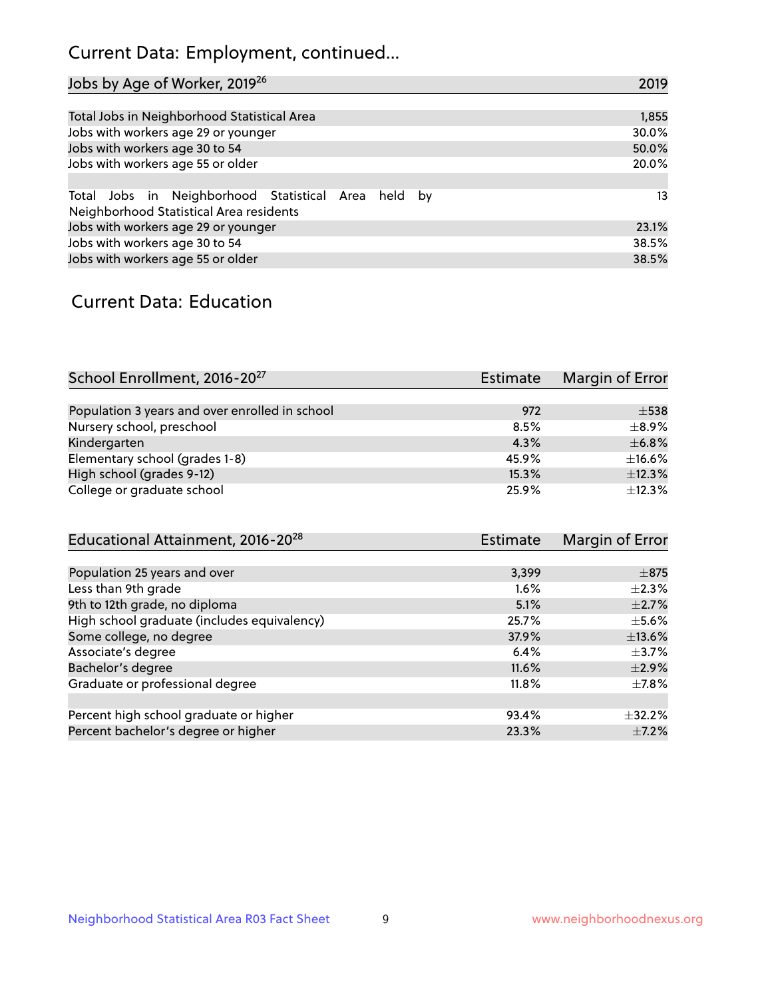# Current Data: Employment, continued...

| Jobs by Age of Worker, 2019 <sup>26</sup>                                                      | 2019  |
|------------------------------------------------------------------------------------------------|-------|
|                                                                                                |       |
| Total Jobs in Neighborhood Statistical Area                                                    | 1,855 |
| Jobs with workers age 29 or younger                                                            | 30.0% |
| Jobs with workers age 30 to 54                                                                 | 50.0% |
| Jobs with workers age 55 or older                                                              | 20.0% |
|                                                                                                |       |
| Total Jobs in Neighborhood Statistical Area held by<br>Neighborhood Statistical Area residents | 13    |
| Jobs with workers age 29 or younger                                                            | 23.1% |
| Jobs with workers age 30 to 54                                                                 | 38.5% |
| Jobs with workers age 55 or older                                                              | 38.5% |

### Current Data: Education

| School Enrollment, 2016-20 <sup>27</sup>       | Estimate | Margin of Error |
|------------------------------------------------|----------|-----------------|
|                                                |          |                 |
| Population 3 years and over enrolled in school | 972      | $\pm$ 538       |
| Nursery school, preschool                      | 8.5%     | $\pm$ 8.9%      |
| Kindergarten                                   | 4.3%     | $\pm$ 6.8%      |
| Elementary school (grades 1-8)                 | 45.9%    | $\pm$ 16.6%     |
| High school (grades 9-12)                      | 15.3%    | ±12.3%          |
| College or graduate school                     | 25.9%    | ±12.3%          |

| Educational Attainment, 2016-20 <sup>28</sup> | Estimate | Margin of Error |
|-----------------------------------------------|----------|-----------------|
|                                               |          |                 |
| Population 25 years and over                  | 3,399    | $\pm$ 875       |
| Less than 9th grade                           | 1.6%     | $\pm 2.3\%$     |
| 9th to 12th grade, no diploma                 | 5.1%     | $\pm 2.7\%$     |
| High school graduate (includes equivalency)   | 25.7%    | $\pm$ 5.6%      |
| Some college, no degree                       | 37.9%    | ±13.6%          |
| Associate's degree                            | 6.4%     | $\pm$ 3.7%      |
| Bachelor's degree                             | 11.6%    | $\pm 2.9\%$     |
| Graduate or professional degree               | 11.8%    | $\pm$ 7.8%      |
|                                               |          |                 |
| Percent high school graduate or higher        | 93.4%    | $+32.2%$        |
| Percent bachelor's degree or higher           | 23.3%    | $\pm$ 7.2%      |
|                                               |          |                 |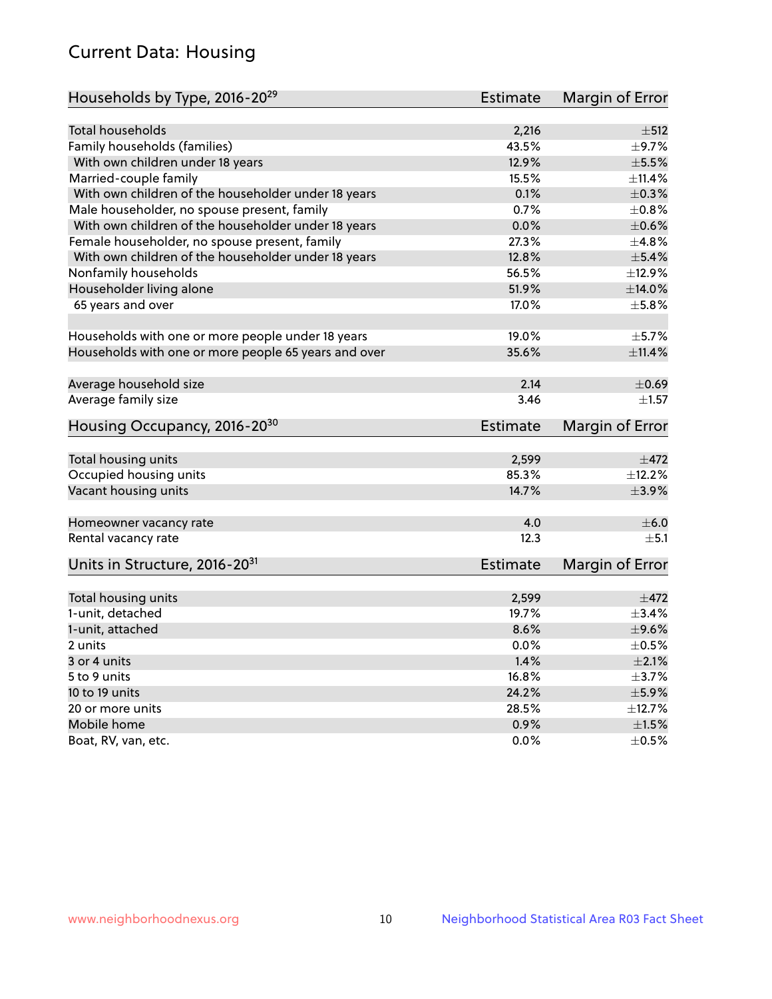# Current Data: Housing

| Households by Type, 2016-20 <sup>29</sup>            | <b>Estimate</b> | Margin of Error |
|------------------------------------------------------|-----------------|-----------------|
|                                                      |                 |                 |
| <b>Total households</b>                              | 2,216           | $\pm$ 512       |
| Family households (families)                         | 43.5%           | $\pm$ 9.7%      |
| With own children under 18 years                     | 12.9%           | $\pm$ 5.5%      |
| Married-couple family                                | 15.5%           | $\pm$ 11.4%     |
| With own children of the householder under 18 years  | 0.1%            | $\pm$ 0.3%      |
| Male householder, no spouse present, family          | 0.7%            | $\pm 0.8\%$     |
| With own children of the householder under 18 years  | 0.0%            | $\pm$ 0.6%      |
| Female householder, no spouse present, family        | 27.3%           | ±4.8%           |
| With own children of the householder under 18 years  | 12.8%           | $\pm$ 5.4%      |
| Nonfamily households                                 | 56.5%           | ±12.9%          |
| Householder living alone                             | 51.9%           | ±14.0%          |
| 65 years and over                                    | 17.0%           | $\pm$ 5.8%      |
|                                                      |                 |                 |
| Households with one or more people under 18 years    | 19.0%           | $\pm$ 5.7%      |
| Households with one or more people 65 years and over | 35.6%           | $\pm$ 11.4%     |
|                                                      |                 |                 |
| Average household size                               | 2.14            | $\pm$ 0.69      |
| Average family size                                  | 3.46            | $\pm 1.57$      |
|                                                      |                 |                 |
| Housing Occupancy, 2016-20 <sup>30</sup>             | <b>Estimate</b> | Margin of Error |
| Total housing units                                  | 2,599           | $\pm$ 472       |
| Occupied housing units                               | 85.3%           | ±12.2%          |
| Vacant housing units                                 | 14.7%           | $\pm$ 3.9%      |
|                                                      |                 |                 |
| Homeowner vacancy rate                               | 4.0             | $\pm$ 6.0       |
| Rental vacancy rate                                  | 12.3            | $\pm$ 5.1       |
| Units in Structure, 2016-20 <sup>31</sup>            | <b>Estimate</b> | Margin of Error |
|                                                      |                 |                 |
| Total housing units                                  | 2,599           | $\pm$ 472       |
| 1-unit, detached                                     | 19.7%           | ±3.4%           |
| 1-unit, attached                                     | 8.6%            | $\pm$ 9.6%      |
| 2 units                                              | 0.0%            | $\pm$ 0.5%      |
| 3 or 4 units                                         | 1.4%            | $\pm 2.1\%$     |
| 5 to 9 units                                         | 16.8%           | $\pm$ 3.7%      |
| 10 to 19 units                                       | 24.2%           | $\pm$ 5.9%      |
| 20 or more units                                     | 28.5%           | ±12.7%          |
| Mobile home                                          | 0.9%            | $\pm1.5\%$      |
| Boat, RV, van, etc.                                  | 0.0%            | $\pm$ 0.5%      |
|                                                      |                 |                 |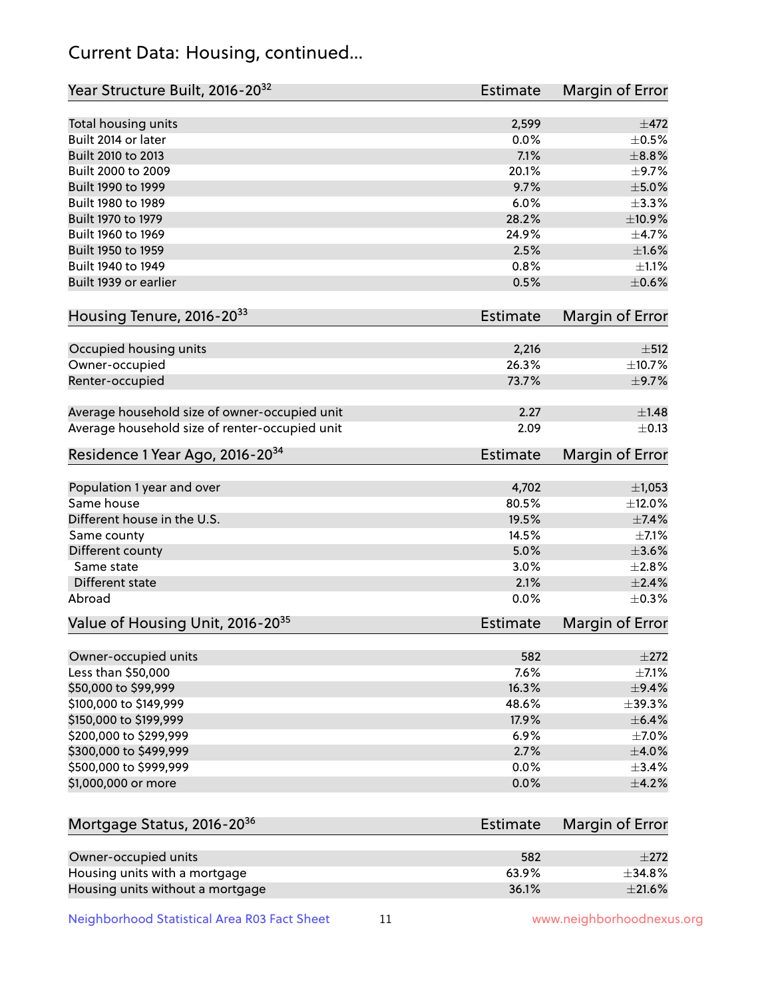# Current Data: Housing, continued...

| Year Structure Built, 2016-20 <sup>32</sup>    | Estimate        | <b>Margin of Error</b> |
|------------------------------------------------|-----------------|------------------------|
| Total housing units                            | 2,599           | ±472                   |
| Built 2014 or later                            | 0.0%            | $\pm$ 0.5%             |
| Built 2010 to 2013                             | 7.1%            | $\pm$ 8.8%             |
| Built 2000 to 2009                             | 20.1%           | $\pm$ 9.7%             |
| Built 1990 to 1999                             | 9.7%            | $\pm$ 5.0%             |
| Built 1980 to 1989                             | 6.0%            | $\pm$ 3.3%             |
| Built 1970 to 1979                             | 28.2%           | ±10.9%                 |
| Built 1960 to 1969                             | 24.9%           | ±4.7%                  |
| Built 1950 to 1959                             | 2.5%            | $\pm1.6\%$             |
| Built 1940 to 1949                             | 0.8%            | $\pm 1.1\%$            |
| Built 1939 or earlier                          | 0.5%            | $\pm$ 0.6%             |
| Housing Tenure, 2016-2033                      | Estimate        | Margin of Error        |
| Occupied housing units                         | 2,216           | $\pm$ 512              |
| Owner-occupied                                 | 26.3%           | ±10.7%                 |
| Renter-occupied                                | 73.7%           | $\pm$ 9.7%             |
| Average household size of owner-occupied unit  | 2.27            | $\pm$ 1.48             |
| Average household size of renter-occupied unit | 2.09            | $\pm$ 0.13             |
| Residence 1 Year Ago, 2016-20 <sup>34</sup>    | <b>Estimate</b> | <b>Margin of Error</b> |
| Population 1 year and over                     | 4,702           | $\pm$ 1,053            |
| Same house                                     | 80.5%           | $\pm$ 12.0%            |
| Different house in the U.S.                    | 19.5%           | ±7.4%                  |
| Same county                                    | 14.5%           | $\pm$ 7.1%             |
| Different county                               | 5.0%            | $\pm 3.6\%$            |
| Same state                                     | 3.0%            | $\pm 2.8\%$            |
| Different state                                | 2.1%            | $\pm 2.4\%$            |
| Abroad                                         | 0.0%            | $\pm$ 0.3%             |
| Value of Housing Unit, 2016-20 <sup>35</sup>   | <b>Estimate</b> | Margin of Error        |
| Owner-occupied units                           | 582             | $\pm 272$              |
| Less than \$50,000                             | 7.6%            | $\pm$ 7.1%             |
| \$50,000 to \$99,999                           | 16.3%           | $\pm$ 9.4%             |
| \$100,000 to \$149,999                         | 48.6%           | $\pm$ 39.3%            |
| \$150,000 to \$199,999                         | 17.9%           | $\pm$ 6.4%             |
| \$200,000 to \$299,999                         | 6.9%            | $\pm$ 7.0%             |
| \$300,000 to \$499,999                         | 2.7%            | $\pm 4.0\%$            |
| \$500,000 to \$999,999                         | 0.0%            | $\pm$ 3.4%             |
| \$1,000,000 or more                            | 0.0%            | $\pm$ 4.2%             |
| Mortgage Status, 2016-20 <sup>36</sup>         | Estimate        | Margin of Error        |
| Owner-occupied units                           | 582             | $\pm 272$              |
| Housing units with a mortgage                  | 63.9%           | ±34.8%                 |

Housing units without a mortgage  $\pm 21.6\%$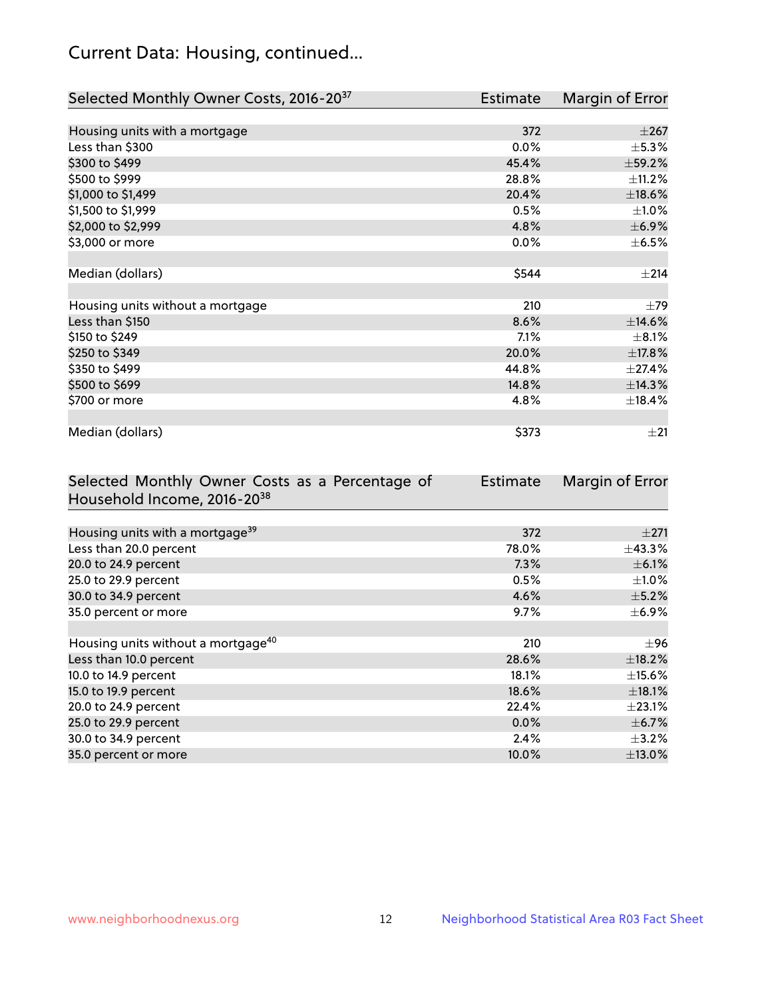# Current Data: Housing, continued...

| Selected Monthly Owner Costs, 2016-20 <sup>37</sup> | <b>Estimate</b> | Margin of Error |
|-----------------------------------------------------|-----------------|-----------------|
|                                                     |                 |                 |
| Housing units with a mortgage                       | 372             | $\pm 267$       |
| Less than \$300                                     | 0.0%            | $\pm$ 5.3%      |
| \$300 to \$499                                      | 45.4%           | ±59.2%          |
| \$500 to \$999                                      | 28.8%           | $\pm$ 11.2%     |
| \$1,000 to \$1,499                                  | 20.4%           | $\pm$ 18.6%     |
| \$1,500 to \$1,999                                  | 0.5%            | $\pm$ 1.0%      |
| \$2,000 to \$2,999                                  | 4.8%            | $\pm$ 6.9%      |
| \$3,000 or more                                     | 0.0%            | $\pm$ 6.5%      |
|                                                     |                 |                 |
| Median (dollars)                                    | \$544           | ±214            |
|                                                     |                 |                 |
| Housing units without a mortgage                    | 210             | $\pm$ 79        |
| Less than \$150                                     | 8.6%            | $\pm$ 14.6%     |
| \$150 to \$249                                      | 7.1%            | $\pm$ 8.1%      |
| \$250 to \$349                                      | 20.0%           | ±17.8%          |
| \$350 to \$499                                      | 44.8%           | ±27.4%          |
| \$500 to \$699                                      | 14.8%           | ±14.3%          |
| \$700 or more                                       | 4.8%            | ±18.4%          |
|                                                     |                 |                 |
| Median (dollars)                                    | \$373           | ±21             |

| Selected Monthly Owner Costs as a Percentage of | <b>Estimate</b> | Margin of Error |
|-------------------------------------------------|-----------------|-----------------|
| Household Income, 2016-20 <sup>38</sup>         |                 |                 |
|                                                 |                 |                 |
| Housing units with a mortgage <sup>39</sup>     | 372             | $\pm 271$       |
| Less than 20.0 percent                          | 78.0%           | $\pm$ 43.3%     |
| 20.0 to 24.9 percent                            | 7.3%            | $\pm$ 6.1%      |
| 25.0 to 29.9 percent                            | 0.5%            | $\pm 1.0\%$     |
| 30.0 to 34.9 percent                            | 4.6%            | $\pm$ 5.2%      |
| 35.0 percent or more                            | 9.7%            | $\pm$ 6.9%      |
|                                                 |                 |                 |
| Housing units without a mortgage <sup>40</sup>  | 210             | $\pm 96$        |
| Less than 10.0 percent                          | 28.6%           | $\pm$ 18.2%     |
| 10.0 to 14.9 percent                            | 18.1%           | $\pm$ 15.6%     |
| 15.0 to 19.9 percent                            | 18.6%           | $\pm$ 18.1%     |
| 20.0 to 24.9 percent                            | 22.4%           | $\pm 23.1\%$    |
| 25.0 to 29.9 percent                            | 0.0%            | $\pm$ 6.7%      |
| 30.0 to 34.9 percent                            | 2.4%            | $\pm$ 3.2%      |
| 35.0 percent or more                            | 10.0%           | $\pm$ 13.0%     |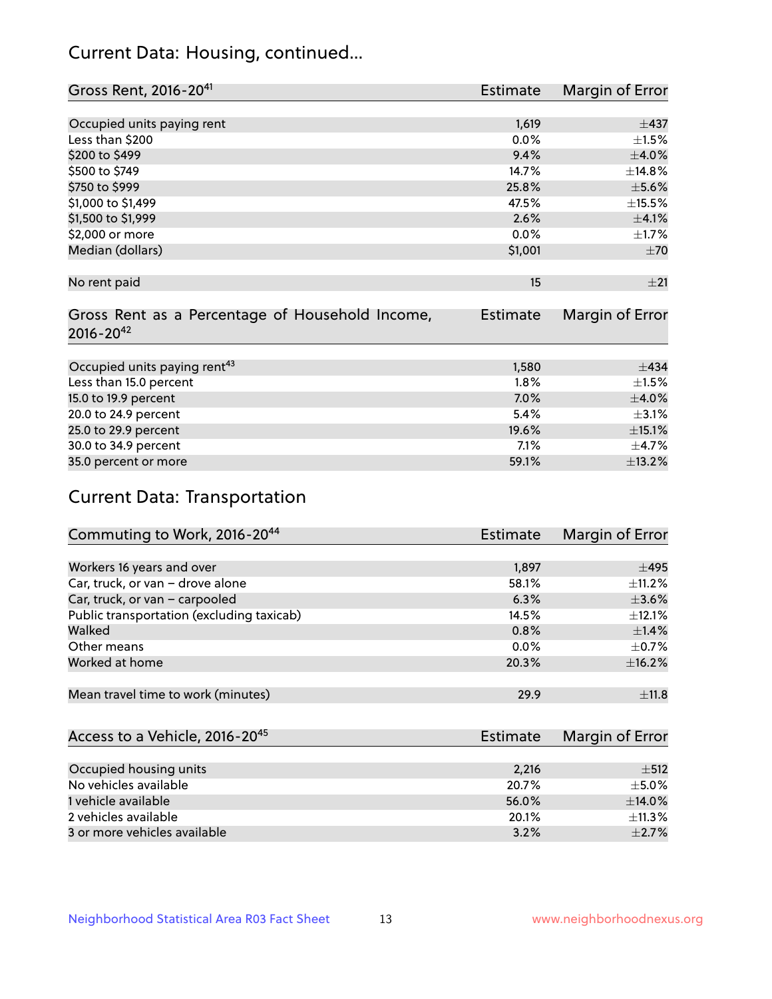# Current Data: Housing, continued...

| Gross Rent, 2016-20 <sup>41</sup>               | <b>Estimate</b> | Margin of Error |
|-------------------------------------------------|-----------------|-----------------|
|                                                 |                 |                 |
| Occupied units paying rent                      | 1,619           | $\pm$ 437       |
| Less than \$200                                 | 0.0%            | $\pm 1.5\%$     |
| \$200 to \$499                                  | 9.4%            | $\pm 4.0\%$     |
| \$500 to \$749                                  | 14.7%           | ±14.8%          |
| \$750 to \$999                                  | 25.8%           | $\pm$ 5.6%      |
| \$1,000 to \$1,499                              | 47.5%           | $\pm$ 15.5%     |
| \$1,500 to \$1,999                              | 2.6%            | $\pm 4.1\%$     |
| \$2,000 or more                                 | 0.0%            | $\pm$ 1.7%      |
| Median (dollars)                                | \$1,001         | ±70             |
|                                                 |                 |                 |
| No rent paid                                    | 15              | ±21             |
|                                                 |                 |                 |
| Gross Rent as a Percentage of Household Income, | <b>Estimate</b> | Margin of Error |
| $2016 - 20^{42}$                                |                 |                 |
|                                                 |                 |                 |
| Occupied units paying rent <sup>43</sup>        | 1,580           | $\pm$ 434       |
| Less than 15.0 percent                          | 1.8%            | $\pm 1.5\%$     |
| 15.0 to 19.9 percent                            | 7.0%            | $\pm 4.0\%$     |
| 20.0 to 24.9 percent                            | 5.4%            | $\pm$ 3.1%      |
| 25.0 to 29.9 percent                            | 19.6%           | $\pm$ 15.1%     |
| 30.0 to 34.9 percent                            | 7.1%            | $\pm$ 4.7%      |
| 35.0 percent or more                            | 59.1%           | ±13.2%          |

# Current Data: Transportation

| Commuting to Work, 2016-20 <sup>44</sup>  | <b>Estimate</b> | Margin of Error |
|-------------------------------------------|-----------------|-----------------|
|                                           |                 |                 |
| Workers 16 years and over                 | 1,897           | $\pm 495$       |
| Car, truck, or van - drove alone          | 58.1%           | $\pm$ 11.2%     |
| Car, truck, or van - carpooled            | 6.3%            | $\pm 3.6\%$     |
| Public transportation (excluding taxicab) | 14.5%           | $+12.1%$        |
| Walked                                    | 0.8%            | $\pm$ 1.4%      |
| Other means                               | $0.0\%$         | $\pm$ 0.7%      |
| Worked at home                            | 20.3%           | ±16.2%          |
|                                           |                 |                 |
| Mean travel time to work (minutes)        | 29.9            | $\pm$ 11.8      |

| Access to a Vehicle, 2016-20 <sup>45</sup> | Estimate | Margin of Error |
|--------------------------------------------|----------|-----------------|
|                                            |          |                 |
| Occupied housing units                     | 2,216    | $\pm$ 512       |
| No vehicles available                      | 20.7%    | $+5.0%$         |
| 1 vehicle available                        | 56.0%    | $\pm$ 14.0%     |
| 2 vehicles available                       | 20.1%    | $+11.3%$        |
| 3 or more vehicles available               | 3.2%     | $+2.7%$         |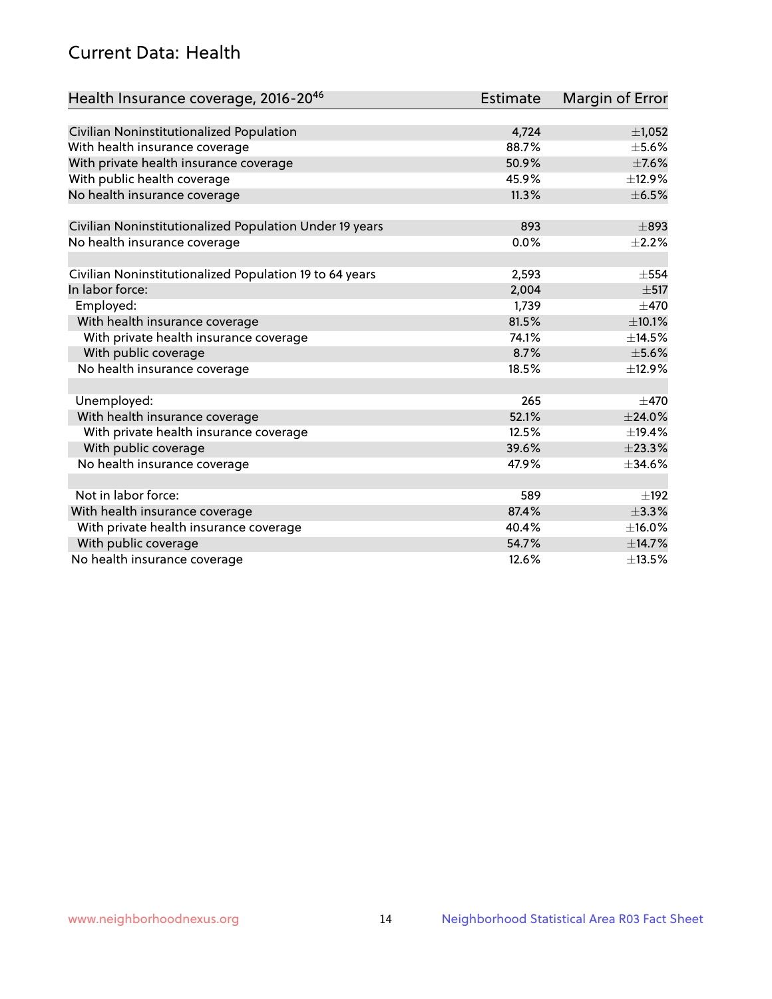# Current Data: Health

| Health Insurance coverage, 2016-2046                    | <b>Estimate</b> | Margin of Error |
|---------------------------------------------------------|-----------------|-----------------|
|                                                         |                 |                 |
| Civilian Noninstitutionalized Population                | 4,724           | $\pm$ 1,052     |
| With health insurance coverage                          | 88.7%           | $\pm$ 5.6%      |
| With private health insurance coverage                  | 50.9%           | $\pm$ 7.6%      |
| With public health coverage                             | 45.9%           | ±12.9%          |
| No health insurance coverage                            | 11.3%           | $\pm$ 6.5%      |
| Civilian Noninstitutionalized Population Under 19 years | 893             | $\pm$ 893       |
| No health insurance coverage                            | 0.0%            | $\pm 2.2\%$     |
|                                                         |                 |                 |
| Civilian Noninstitutionalized Population 19 to 64 years | 2,593           | $\pm$ 554       |
| In labor force:                                         | 2,004           | $\pm$ 517       |
| Employed:                                               | 1,739           | $\pm$ 470       |
| With health insurance coverage                          | 81.5%           | $\pm 10.1\%$    |
| With private health insurance coverage                  | 74.1%           | ±14.5%          |
| With public coverage                                    | 8.7%            | $\pm$ 5.6%      |
| No health insurance coverage                            | 18.5%           | ±12.9%          |
|                                                         |                 |                 |
| Unemployed:                                             | 265             | $\pm$ 470       |
| With health insurance coverage                          | 52.1%           | ±24.0%          |
| With private health insurance coverage                  | 12.5%           | ±19.4%          |
| With public coverage                                    | 39.6%           | ±23.3%          |
| No health insurance coverage                            | 47.9%           | $\pm$ 34.6%     |
|                                                         |                 |                 |
| Not in labor force:                                     | 589             | $\pm$ 192       |
| With health insurance coverage                          | 87.4%           | ±3.3%           |
| With private health insurance coverage                  | 40.4%           | $\pm$ 16.0%     |
| With public coverage                                    | 54.7%           | ±14.7%          |
| No health insurance coverage                            | 12.6%           | ±13.5%          |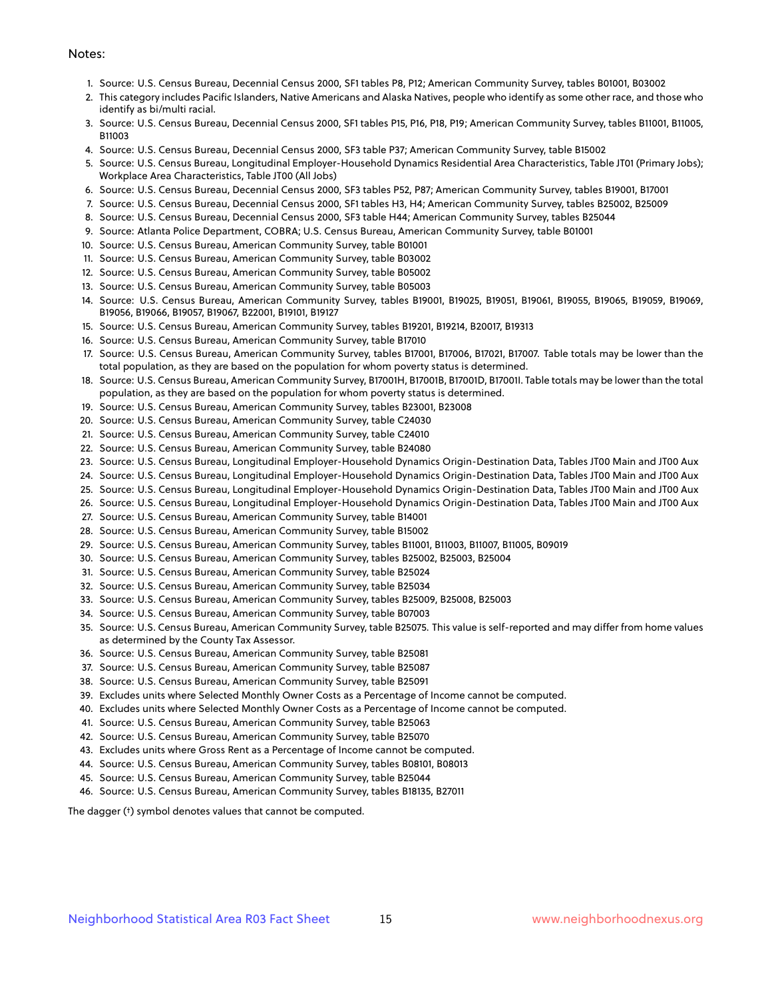#### Notes:

- 1. Source: U.S. Census Bureau, Decennial Census 2000, SF1 tables P8, P12; American Community Survey, tables B01001, B03002
- 2. This category includes Pacific Islanders, Native Americans and Alaska Natives, people who identify as some other race, and those who identify as bi/multi racial.
- 3. Source: U.S. Census Bureau, Decennial Census 2000, SF1 tables P15, P16, P18, P19; American Community Survey, tables B11001, B11005, B11003
- 4. Source: U.S. Census Bureau, Decennial Census 2000, SF3 table P37; American Community Survey, table B15002
- 5. Source: U.S. Census Bureau, Longitudinal Employer-Household Dynamics Residential Area Characteristics, Table JT01 (Primary Jobs); Workplace Area Characteristics, Table JT00 (All Jobs)
- 6. Source: U.S. Census Bureau, Decennial Census 2000, SF3 tables P52, P87; American Community Survey, tables B19001, B17001
- 7. Source: U.S. Census Bureau, Decennial Census 2000, SF1 tables H3, H4; American Community Survey, tables B25002, B25009
- 8. Source: U.S. Census Bureau, Decennial Census 2000, SF3 table H44; American Community Survey, tables B25044
- 9. Source: Atlanta Police Department, COBRA; U.S. Census Bureau, American Community Survey, table B01001
- 10. Source: U.S. Census Bureau, American Community Survey, table B01001
- 11. Source: U.S. Census Bureau, American Community Survey, table B03002
- 12. Source: U.S. Census Bureau, American Community Survey, table B05002
- 13. Source: U.S. Census Bureau, American Community Survey, table B05003
- 14. Source: U.S. Census Bureau, American Community Survey, tables B19001, B19025, B19051, B19061, B19055, B19065, B19059, B19069, B19056, B19066, B19057, B19067, B22001, B19101, B19127
- 15. Source: U.S. Census Bureau, American Community Survey, tables B19201, B19214, B20017, B19313
- 16. Source: U.S. Census Bureau, American Community Survey, table B17010
- 17. Source: U.S. Census Bureau, American Community Survey, tables B17001, B17006, B17021, B17007. Table totals may be lower than the total population, as they are based on the population for whom poverty status is determined.
- 18. Source: U.S. Census Bureau, American Community Survey, B17001H, B17001B, B17001D, B17001I. Table totals may be lower than the total population, as they are based on the population for whom poverty status is determined.
- 19. Source: U.S. Census Bureau, American Community Survey, tables B23001, B23008
- 20. Source: U.S. Census Bureau, American Community Survey, table C24030
- 21. Source: U.S. Census Bureau, American Community Survey, table C24010
- 22. Source: U.S. Census Bureau, American Community Survey, table B24080
- 23. Source: U.S. Census Bureau, Longitudinal Employer-Household Dynamics Origin-Destination Data, Tables JT00 Main and JT00 Aux
- 24. Source: U.S. Census Bureau, Longitudinal Employer-Household Dynamics Origin-Destination Data, Tables JT00 Main and JT00 Aux
- 25. Source: U.S. Census Bureau, Longitudinal Employer-Household Dynamics Origin-Destination Data, Tables JT00 Main and JT00 Aux
- 26. Source: U.S. Census Bureau, Longitudinal Employer-Household Dynamics Origin-Destination Data, Tables JT00 Main and JT00 Aux
- 27. Source: U.S. Census Bureau, American Community Survey, table B14001
- 28. Source: U.S. Census Bureau, American Community Survey, table B15002
- 29. Source: U.S. Census Bureau, American Community Survey, tables B11001, B11003, B11007, B11005, B09019
- 30. Source: U.S. Census Bureau, American Community Survey, tables B25002, B25003, B25004
- 31. Source: U.S. Census Bureau, American Community Survey, table B25024
- 32. Source: U.S. Census Bureau, American Community Survey, table B25034
- 33. Source: U.S. Census Bureau, American Community Survey, tables B25009, B25008, B25003
- 34. Source: U.S. Census Bureau, American Community Survey, table B07003
- 35. Source: U.S. Census Bureau, American Community Survey, table B25075. This value is self-reported and may differ from home values as determined by the County Tax Assessor.
- 36. Source: U.S. Census Bureau, American Community Survey, table B25081
- 37. Source: U.S. Census Bureau, American Community Survey, table B25087
- 38. Source: U.S. Census Bureau, American Community Survey, table B25091
- 39. Excludes units where Selected Monthly Owner Costs as a Percentage of Income cannot be computed.
- 40. Excludes units where Selected Monthly Owner Costs as a Percentage of Income cannot be computed.
- 41. Source: U.S. Census Bureau, American Community Survey, table B25063
- 42. Source: U.S. Census Bureau, American Community Survey, table B25070
- 43. Excludes units where Gross Rent as a Percentage of Income cannot be computed.
- 44. Source: U.S. Census Bureau, American Community Survey, tables B08101, B08013
- 45. Source: U.S. Census Bureau, American Community Survey, table B25044
- 46. Source: U.S. Census Bureau, American Community Survey, tables B18135, B27011

The dagger (†) symbol denotes values that cannot be computed.